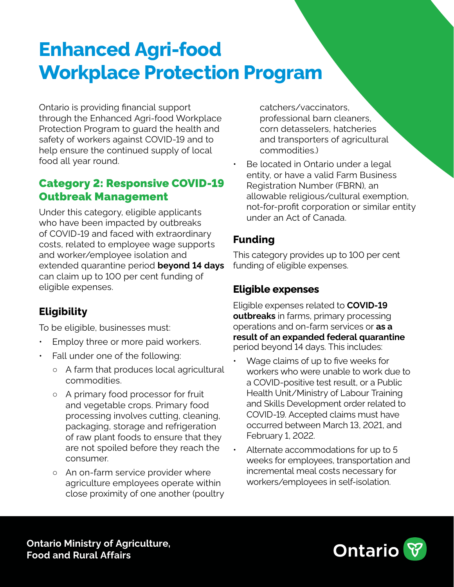# **Enhanced Agri-food Workplace Protection Program**

Ontario is providing financial support through the Enhanced Agri-food Workplace Protection Program to guard the health and safety of workers against COVID-19 and to help ensure the continued supply of local food all year round.

### Category 2: Responsive COVID-19 Outbreak Management

Under this category, eligible applicants who have been impacted by outbreaks of COVID-19 and faced with extraordinary costs, related to employee wage supports and worker/employee isolation and extended quarantine period **beyond 14 days**  can claim up to 100 per cent funding of eligible expenses.

## **Eligibility**

To be eligible, businesses must:

- Employ three or more paid workers.
- Fall under one of the following:
	- A farm that produces local agricultural commodities.
	- A primary food processor for fruit and vegetable crops. Primary food processing involves cutting, cleaning, packaging, storage and refrigeration of raw plant foods to ensure that they are not spoiled before they reach the consumer.
	- An on-farm service provider where agriculture employees operate within close proximity of one another (poultry

catchers/vaccinators, professional barn cleaners, corn detasselers, hatcheries and transporters of agricultural commodities.)

Be located in Ontario under a legal entity, or have a valid Farm Business Registration Number (FBRN), an allowable religious/cultural exemption, not-for-profit corporation or similar entity under an Act of Canada.

#### **Funding**

This category provides up to 100 per cent funding of eligible expenses.

#### **Eligible expenses**

Eligible expenses related to **COVID-19 outbreaks** in farms, primary processing operations and on-farm services or **as a result of an expanded federal quarantine** period beyond 14 days. This includes:

- Wage claims of up to five weeks for workers who were unable to work due to a COVID-positive test result, or a Public Health Unit/Ministry of Labour Training and Skills Development order related to COVID-19. Accepted claims must have occurred between March 13, 2021, and February 1, 2022.
- Alternate accommodations for up to 5 weeks for employees, transportation and incremental meal costs necessary for workers/employees in self-isolation.